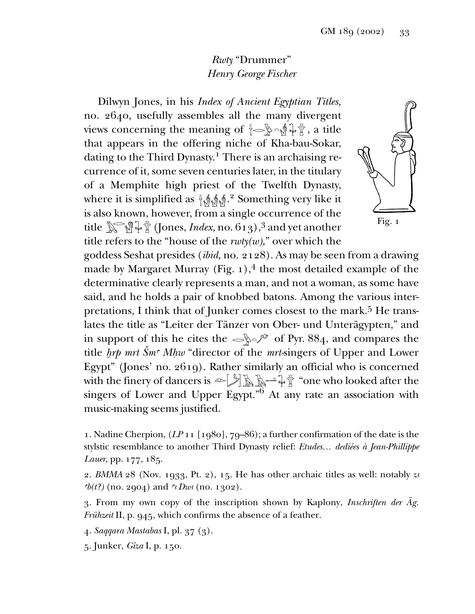## *Rwty* "Drummer" *Henry George Fischer*

Dilwyn Jones, in his *Index of Ancient Egyptian Titles,* no. 2640, usefully assembles all the many divergent views concerning the meaning of  $\{\neg\} \neg \mathcal{L} \wedge \mathcal{L}$ , a title that appears in the offering niche of Kha-bau-Sokar, dating to the Third Dynasty.<sup>1</sup> There is an archaising recurrence of it, some seven centuries later, in the titulary of a Memphite high priest of the Twelfth Dynasty, where it is simplified as  $\frac{4}{3}$   $\frac{4}{3}$   $\frac{4}{3}$   $\frac{2}{3}$  Something very like it is also known, however, from a single occurrence of the title (Jones, *Index,* no. 613),<sup>3</sup> and yet another –≈ <sup>á</sup><sup>g</sup> title refers to the "house of the *rwty(w),*" over which the



goddess Seshat presides (*ibid,* no. 2128). As may be seen from a drawing made by Margaret Murray (Fig.  $1$ ),<sup>4</sup> the most detailed example of the determinative clearly represents a man, and not a woman, as some have said, and he holds a pair of knobbed batons. Among the various interpretations, I think that of Junker comes closest to the mark.<sup>5</sup> He translates the title as "Leiter der Tänzer von Ober- und Unterägypten," and in support of this he cites the  $\leq$   $\mathbb{R}^2$  of Pyr. 884, and compares the title *hrp mrt Šm<sup>™</sup> Mhw* "director of the *mrt*-singers of Upper and Lower Egypt" (Jones' no. 2619). Rather similarly an official who is concerned with the finery of dancers is  $\in$   $\mathbb{Z}$   $\mathbb{R}$   $\mathbb{R}$   $\mathbb{R}$  "one who looked after the singers of Lower and Upper Egypt."<sup>6</sup> At any rate an association with music-making seems justified.

1. Nadine Cherpion, (*LP* 11 [1980], 79–86); a further confirmation of the date is the stylstic resemblance to another Third Dynasty relief: *Etudes… dediées à Jean-Phillippe Lauer,* pp. 177, 185.

2. *BMMA* 28 (Nov. 1933, Pt. 2), 15. He has other archaic titles as well: notably *z£ Wh(t?)* (no. 2904) and *™<sup>3</sup> Dw<sub>1</sub>* (no. 1302).

3. From my own copy of the inscription shown by Kaplony, *Inschriften der Äg. Frühzeit* II, p. 945, which confirms the absence of a feather.

4. *Saqqara Mastabas* I, pl. 37 (3).

5. Junker, *Gîza* I, p. 150.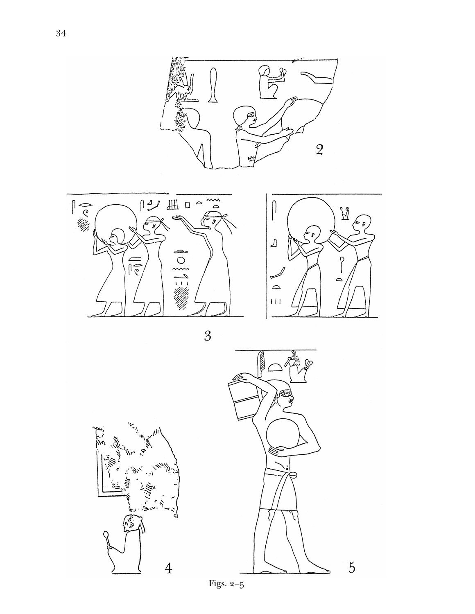







 $\overline{5}$ 

Figs. 2–5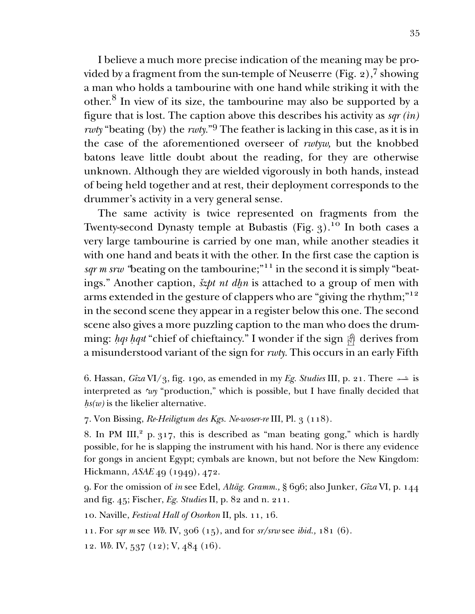I believe a much more precise indication of the meaning may be provided by a fragment from the sun-temple of Neuserre (Fig.  $2$ ),<sup>7</sup> showing a man who holds a tambourine with one hand while striking it with the other.<sup>8</sup> In view of its size, the tambourine may also be supported by a figure that is lost. The caption above this describes his activity as  $\frac{sqr}{in}$ *rwty* "beating (by) the *rwty.*"<sup>9</sup> The feather is lacking in this case, as it is in the case of the aforementioned overseer of *rwtyw,* but the knobbed batons leave little doubt about the reading, for they are otherwise unknown. Although they are wielded vigorously in both hands, instead of being held together and at rest, their deployment corresponds to the drummer's activity in a very general sense.

The same activity is twice represented on fragments from the Twenty-second Dynasty temple at Bubastis (Fig. 3).<sup>10</sup> In both cases a very large tambourine is carried by one man, while another steadies it with one hand and beats it with the other. In the first case the caption is *sqr m srw* "beating on the tambourine;"<sup>11</sup> in the second it is simply "beatings." Another caption, *šzpt nt dhn* is attached to a group of men with arms extended in the gesture of clappers who are "giving the rhythm;"12 in the second scene they appear in a register below this one. The second scene also gives a more puzzling caption to the man who does the drumming: hq3 hq3t "chief of chieftaincy." I wonder if the sign  $\bigcircled{r}$  derives from a misunderstood variant of the sign for *rwty.* This occurs in an early Fifth

7. Von Bissing, *Re-Heiligtum des Kgs. Ne-woser-re* III, Pl. 3 (118).

8. In PM III, $^2$  p. 317, this is described as "man beating gong," which is hardly possible, for he is slapping the instrument with his hand. Nor is there any evidence for gongs in ancient Egypt; cymbals are known, but not before the New Kingdom: Hickmann, *ASAE* 49 (1949), 472.

9. For the omission of *¡n* see Edel, *Altäg. Gramm.,* § 696; also Junker, *Gîza* VI, p. 144 and fig. 45; Fischer, *Eg. Studies* II, p. 82 and n. 211.

10. Naville, *Festival Hall of Osorkon* II, pls. 11, 16.

11. For *sqr m* see *Wb.* IV, 306 (15), and for *sr/srw* see *ibid.,* 181 (6).

12. *Wb.* IV, 537 (12); V, 484 (16).

<sup>6.</sup> Hassan, *Gîza* VI/3, fig. 190, as emended in my *Eg. Studies* III, p. 21. There  $\rightarrow$  is interpreted as *™wy* "production," which is possible, but I have finally decided that  *is the likelier alternative.*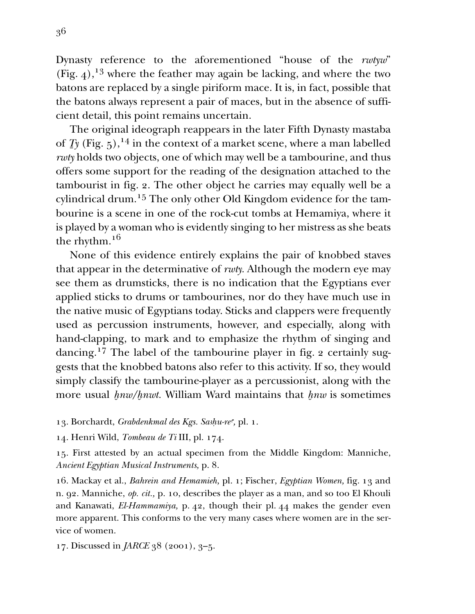Dynasty reference to the aforementioned "house of the *rwtyw*" (Fig. 4),<sup>13</sup> where the feather may again be lacking, and where the two batons are replaced by a single piriform mace. It is, in fact, possible that the batons always represent a pair of maces, but in the absence of sufficient detail, this point remains uncertain.

The original ideograph reappears in the later Fifth Dynasty mastaba of  $\overline{I}$ y (Fig. 5),<sup>14</sup> in the context of a market scene, where a man labelled *rwty* holds two objects, one of which may well be a tambourine, and thus offers some support for the reading of the designation attached to the tambourist in fig. 2. The other object he carries may equally well be a cylindrical drum.<sup>15</sup> The only other Old Kingdom evidence for the tambourine is a scene in one of the rock-cut tombs at Hemamiya, where it is played by a woman who is evidently singing to her mistress as she beats the rhythm.16

None of this evidence entirely explains the pair of knobbed staves that appear in the determinative of *rwty.* Although the modern eye may see them as drumsticks, there is no indication that the Egyptians ever applied sticks to drums or tambourines, nor do they have much use in the native music of Egyptians today. Sticks and clappers were frequently used as percussion instruments, however, and especially, along with hand-clapping, to mark and to emphasize the rhythm of singing and dancing.17 The label of the tambourine player in fig. 2 certainly suggests that the knobbed batons also refer to this activity. If so, they would simply classify the tambourine-player as a percussionist, along with the more usual *hnw/hnwt*. William Ward maintains that *hnw* is sometimes

13. Borchardt, *Grabdenkmal des Kgs. Sashu-re*<sup>c</sup>, pl. 1.

14. Henri Wild, *Tombeau de Ti* III, pl. 174.

15. First attested by an actual specimen from the Middle Kingdom: Manniche, *Ancient Egyptian Musical Instruments,* p. 8.

16. Mackay et al., *Bahrein and Hemamieh,* pl. 1; Fischer, *Egyptian Women,* fig. 13 and n. 92. Manniche, *op. cit.,* p. 10, describes the player as a man, and so too El Khouli and Kanawati, *El-Hammamiya,* p. 42, though their pl. 44 makes the gender even more apparent. This conforms to the very many cases where women are in the service of women.

17. Discussed in *JARCE* 38 (2001), 3–5.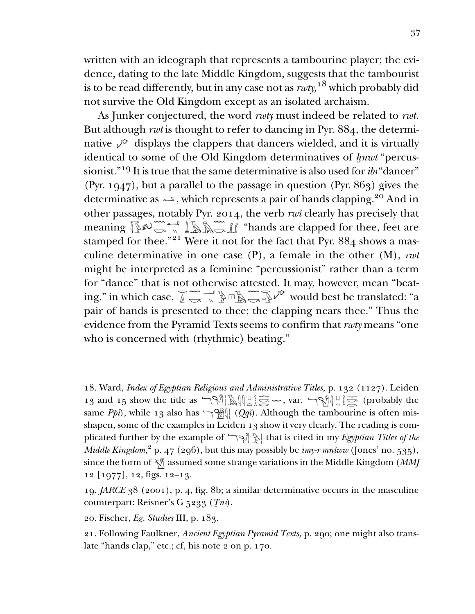written with an ideograph that represents a tambourine player; the evidence, dating to the late Middle Kingdom, suggests that the tambourist is to be read differently, but in any case not as *rwty,*<sup>18</sup> which probably did not survive the Old Kingdom except as an isolated archaism.

As Junker conjectured, the word *rwty* must indeed be related to *rwt.* But although *rwt* is thought to refer to dancing in Pyr. 884, the determinative  $\sqrt{\ }$  displays the clappers that dancers wielded, and it is virtually identical to some of the Old Kingdom determinatives of *hnwt* "percussionist."<sup>19</sup> It is true that the same determinative is also used for *ib*<sup>3</sup> "dancer" (Pyr. 1947), but a parallel to the passage in question (Pyr. 863) gives the determinative as  $\rightarrow$ , which represents a pair of hands clapping.<sup>20</sup> And in other passages, notably Pyr. 2014, the verb *rwi* clearly has precisely that other passages, notably Pyr. 2014, the verb  $\mathit{rwi}$  clearly has precisely that meaning  $\widehat{\mathbb{R}}^\infty$   $\widehat{\mathbb{R}}^\infty$   $\widehat{\mathbb{R}}^\infty$   $\widehat{\mathbb{R}}^\infty$   $\widehat{\mathbb{R}}^\infty$   $\widehat{\mathbb{R}}^\infty$   $\widehat{\mathbb{R}}^\infty$   $\widehat{\mathbb{R}}^\infty$   $\widehat{\mathbb{R}}^\in$ stamped for thee."<sup>21</sup> Were it not for the fact that Pyr. 884 shows a masculine determinative in one case (P), a female in the other (M), *rwt* might be interpreted as a feminine "percussionist" rather than a term for "dance" that is not otherwise attested. It may, however, mean "beatfor "dance" that is not otherwise attested. It may, however, mean "beating," in which case,  $\widehat{\mathbb{A}} \longrightarrow \widehat{\mathbb{A}} \longrightarrow \widehat{\mathbb{A}} \longrightarrow \widehat{\mathbb{A}}$  would best be translated: "a pair of hands is presented to thee; the clapping nears thee." Thus the evidence from the Pyramid Texts seems to confirm that *rwty* means "one who is concerned with (rhythmic) beating."

18. Ward, *Index of Egyptian Religious and Administrative Titles*, p. 132 (1127). Leiden 13 and 15 show the title as  $\mathcal{L}[\mathbb{Q}]\subseteq \mathbb{Z}$  =  $\mathcal{L}[\mathbb{Q}]\subseteq \mathbb{Z}$  (probably the 13 and 15 show the title as  $\mathcal{L}[\mathbb{Q}]\subseteq \mathbb{Z}$  =  $\mathcal{L}[\mathbb{Q}]\subseteq \mathbb{Z}$  (probably the same *Ppi*), while 13 also has  $\left(\frac{\alpha}{\alpha q}i\right)$ . Although the tambourine is often misshapen, some of the examples in Leiden 13 show it very clearly. The reading is complicated further by the example of  $\bigcirc$   $\mathbb{R}$  that is cited in my *Egyptian Titles of the Middle Kingdom*,<sup>2</sup> p. 47 (296), but this may possibly be *imy-r mniww* (Jones' no. 535), since the form of  $\frac{1}{2}$  assumed some strange variations in the Middle Kingdom (*MMJ* 12 [1977], 12, figs. 12–13. » »  $\mathbb{Z}$  =  $\mathbb{Z}$  , var.  $\mathbb{Q}$   $\mathbb{Z}$   $\mathbb{Z}$ »

19. *JARCE* 38 (2001), p. 4, fig. 8b; a similar determinative occurs in the masculine counterpart: Reisner's G 5233 (*In*<sup>3</sup>).

20. Fischer, *Eg. Studies* III, p. 183.

21. Following Faulkner, *Ancient Egyptian Pyramid Texts,* p. 290; one might also translate "hands clap," etc.; cf, his note 2 on p. 170.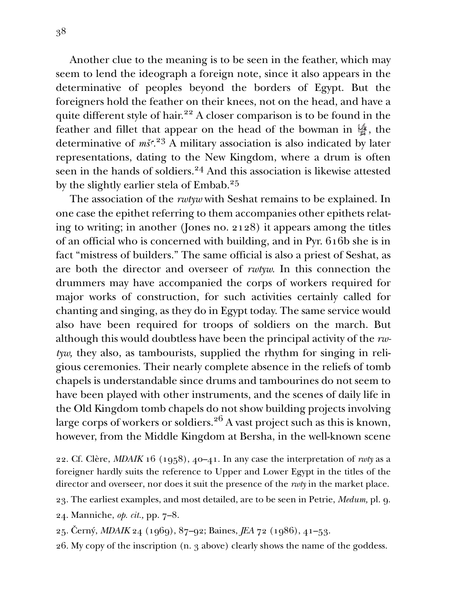Another clue to the meaning is to be seen in the feather, which may seem to lend the ideograph a foreign note, since it also appears in the determinative of peoples beyond the borders of Egypt. But the foreigners hold the feather on their knees, not on the head, and have a quite different style of hair.<sup>22</sup> A closer comparison is to be found in the feather and fillet that appear on the head of the bowman in  $\frac{16}{27}$ , the determinative of *mš*<sup>*c*</sup>.<sup>23</sup> A military association is also indicated by later representations, dating to the New Kingdom, where a drum is often seen in the hands of soldiers.<sup>24</sup> And this association is likewise attested by the slightly earlier stela of Embab.<sup>25</sup>

The association of the *rwtyw* with Seshat remains to be explained. In one case the epithet referring to them accompanies other epithets relating to writing; in another (Jones no. 2128) it appears among the titles of an official who is concerned with building, and in Pyr. 616b she is in fact "mistress of builders." The same official is also a priest of Seshat, as are both the director and overseer of *rwtyw.* In this connection the drummers may have accompanied the corps of workers required for major works of construction, for such activities certainly called for chanting and singing, as they do in Egypt today. The same service would also have been required for troops of soldiers on the march. But although this would doubtless have been the principal activity of the *rwtyw,* they also, as tambourists, supplied the rhythm for singing in religious ceremonies. Their nearly complete absence in the reliefs of tomb chapels is understandable since drums and tambourines do not seem to have been played with other instruments, and the scenes of daily life in the Old Kingdom tomb chapels do not show building projects involving large corps of workers or soldiers.<sup>26</sup> A vast project such as this is known, however, from the Middle Kingdom at Bersha, in the well-known scene

22. Cf. Clère, *MDAIK* 16 (1958), 40–41. In any case the interpretation of *rwty* as a foreigner hardly suits the reference to Upper and Lower Egypt in the titles of the director and overseer, nor does it suit the presence of the *rwty* in the market place.

23. The earliest examples, and most detailed, are to be seen in Petrie, *Medum,* pl. 9.

- 24. Manniche, *op. cit.,* pp. 7–8.
- 25. Černý, *MDAIK* 24 (1969), 87–92; Baines, *JEA* 72 (1986), 41–53.
- 26. My copy of the inscription (n. 3 above) clearly shows the name of the goddess.